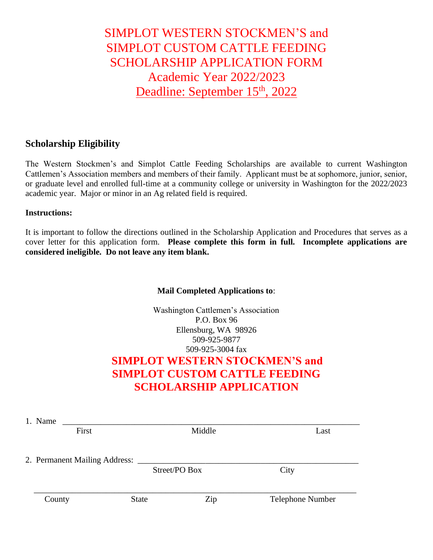## SIMPLOT WESTERN STOCKMEN'S and SIMPLOT CUSTOM CATTLE FEEDING SCHOLARSHIP APPLICATION FORM Academic Year 2022/2023 Deadline: September 15<sup>th</sup>, 2022

### **Scholarship Eligibility**

The Western Stockmen's and Simplot Cattle Feeding Scholarships are available to current Washington Cattlemen's Association members and members of their family. Applicant must be at sophomore, junior, senior, or graduate level and enrolled full-time at a community college or university in Washington for the 2022/2023 academic year. Major or minor in an Ag related field is required.

#### **Instructions:**

It is important to follow the directions outlined in the Scholarship Application and Procedures that serves as a cover letter for this application form. **Please complete this form in full. Incomplete applications are considered ineligible. Do not leave any item blank.**

#### **Mail Completed Applications to**:

Washington Cattlemen's Association P.O. Box 96 Ellensburg, WA 98926 509-925-9877 509-925-3004 fax **SIMPLOT WESTERN STOCKMEN'S and** 

# **SIMPLOT CUSTOM CATTLE FEEDING SCHOLARSHIP APPLICATION**

| 1. Name |                               |               |        |                  |
|---------|-------------------------------|---------------|--------|------------------|
|         | First                         |               | Middle | Last             |
|         | 2. Permanent Mailing Address: |               |        |                  |
|         |                               | Street/PO Box |        | City             |
| County  |                               | <b>State</b>  | Zip    | Telephone Number |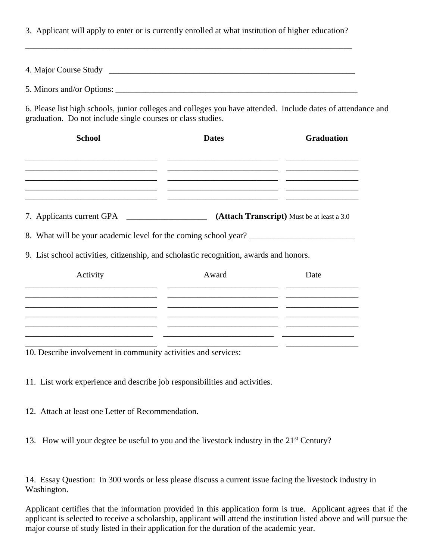3. Applicant will apply to enter or is currently enrolled at what institution of higher education?

\_\_\_\_\_\_\_\_\_\_\_\_\_\_\_\_\_\_\_\_\_\_\_\_\_\_\_\_\_\_\_\_\_\_\_\_\_\_\_\_\_\_\_\_\_\_\_\_\_\_\_\_\_\_\_\_\_\_\_\_\_\_\_\_\_\_\_\_\_\_\_\_\_\_\_\_\_

4. Major Course Study \_\_\_\_\_\_\_\_\_\_\_\_\_\_\_\_\_\_\_\_\_\_\_\_\_\_\_\_\_\_\_\_\_\_\_\_\_\_\_\_\_\_\_\_\_\_\_\_\_\_\_\_\_\_\_\_\_\_

5. Minors and/or Options:

6. Please list high schools, junior colleges and colleges you have attended. Include dates of attendance and graduation. Do not include single courses or class studies.

| <b>School</b>                                                                          | <b>Dates</b> | <b>Graduation</b> |  |
|----------------------------------------------------------------------------------------|--------------|-------------------|--|
|                                                                                        |              |                   |  |
| 7. Applicants current GPA<br>(Attach Transcript) Must be at least a 3.0                |              |                   |  |
| 8. What will be your academic level for the coming school year?                        |              |                   |  |
| 9. List school activities, citizenship, and scholastic recognition, awards and honors. |              |                   |  |
| Activity                                                                               | Award        | Date              |  |
|                                                                                        |              |                   |  |
|                                                                                        |              |                   |  |
|                                                                                        |              |                   |  |

10. Describe involvement in community activities and services:

11. List work experience and describe job responsibilities and activities.

- 12. Attach at least one Letter of Recommendation.
- 13. How will your degree be useful to you and the livestock industry in the 21<sup>st</sup> Century?

14. Essay Question: In 300 words or less please discuss a current issue facing the livestock industry in Washington.

Applicant certifies that the information provided in this application form is true. Applicant agrees that if the applicant is selected to receive a scholarship, applicant will attend the institution listed above and will pursue the major course of study listed in their application for the duration of the academic year.